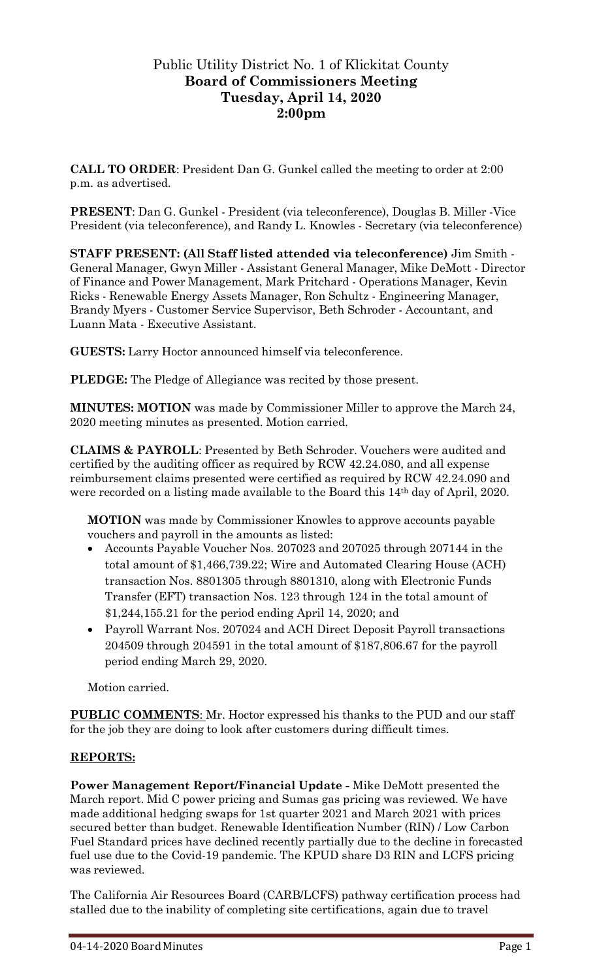## Public Utility District No. 1 of Klickitat County **Board of Commissioners Meeting Tuesday, April 14, 2020 2:00pm**

**CALL TO ORDER**: President Dan G. Gunkel called the meeting to order at 2:00 p.m. as advertised.

**PRESENT**: Dan G. Gunkel - President (via teleconference), Douglas B. Miller -Vice President (via teleconference), and Randy L. Knowles - Secretary (via teleconference)

**STAFF PRESENT: (All Staff listed attended via teleconference)** Jim Smith - General Manager, Gwyn Miller - Assistant General Manager, Mike DeMott - Director of Finance and Power Management, Mark Pritchard - Operations Manager, Kevin Ricks - Renewable Energy Assets Manager, Ron Schultz - Engineering Manager, Brandy Myers - Customer Service Supervisor, Beth Schroder - Accountant, and Luann Mata - Executive Assistant.

**GUESTS:** Larry Hoctor announced himself via teleconference.

**PLEDGE:** The Pledge of Allegiance was recited by those present.

**MINUTES: MOTION** was made by Commissioner Miller to approve the March 24, 2020 meeting minutes as presented. Motion carried.

**CLAIMS & PAYROLL**: Presented by Beth Schroder. Vouchers were audited and certified by the auditing officer as required by RCW 42.24.080, and all expense reimbursement claims presented were certified as required by RCW 42.24.090 and were recorded on a listing made available to the Board this 14th day of April, 2020.

**MOTION** was made by Commissioner Knowles to approve accounts payable vouchers and payroll in the amounts as listed:

- Accounts Payable Voucher Nos. 207023 and 207025 through 207144 in the total amount of \$1,466,739.22; Wire and Automated Clearing House (ACH) transaction Nos. 8801305 through 8801310, along with Electronic Funds Transfer (EFT) transaction Nos. 123 through 124 in the total amount of \$1,244,155.21 for the period ending April 14, 2020; and
- Payroll Warrant Nos. 207024 and ACH Direct Deposit Payroll transactions 204509 through 204591 in the total amount of \$187,806.67 for the payroll period ending March 29, 2020.

Motion carried.

**PUBLIC COMMENTS**: Mr. Hoctor expressed his thanks to the PUD and our staff for the job they are doing to look after customers during difficult times.

## **REPORTS:**

**Power Management Report/Financial Update -** Mike DeMott presented the March report. Mid C power pricing and Sumas gas pricing was reviewed. We have made additional hedging swaps for 1st quarter 2021 and March 2021 with prices secured better than budget. Renewable Identification Number (RIN) / Low Carbon Fuel Standard prices have declined recently partially due to the decline in forecasted fuel use due to the Covid-19 pandemic. The KPUD share D3 RIN and LCFS pricing was reviewed.

The California Air Resources Board (CARB/LCFS) pathway certification process had stalled due to the inability of completing site certifications, again due to travel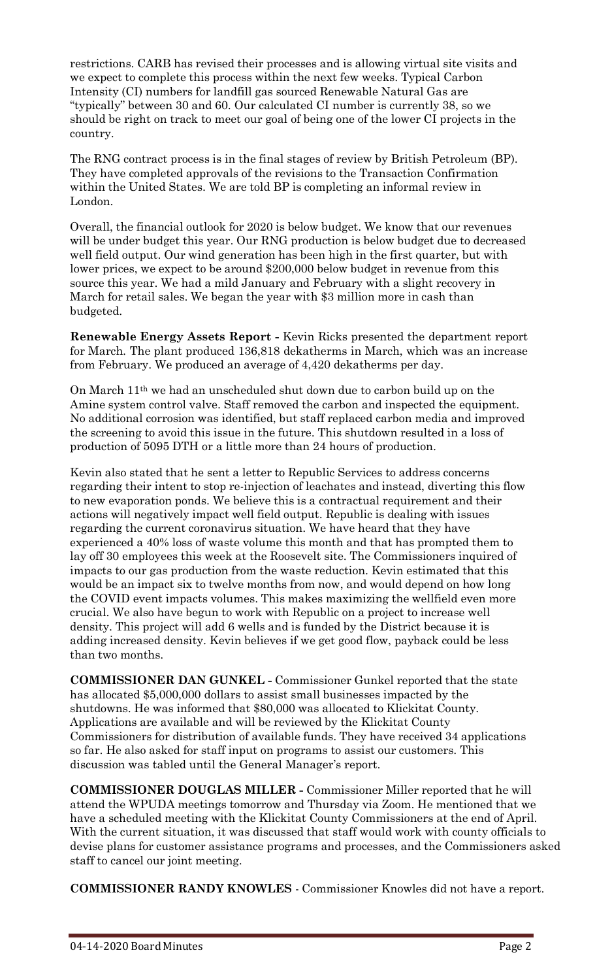restrictions. CARB has revised their processes and is allowing virtual site visits and we expect to complete this process within the next few weeks. Typical Carbon Intensity (CI) numbers for landfill gas sourced Renewable Natural Gas are "typically" between 30 and 60. Our calculated CI number is currently 38, so we should be right on track to meet our goal of being one of the lower CI projects in the country.

The RNG contract process is in the final stages of review by British Petroleum (BP). They have completed approvals of the revisions to the Transaction Confirmation within the United States. We are told BP is completing an informal review in London.

Overall, the financial outlook for 2020 is below budget. We know that our revenues will be under budget this year. Our RNG production is below budget due to decreased well field output. Our wind generation has been high in the first quarter, but with lower prices, we expect to be around \$200,000 below budget in revenue from this source this year. We had a mild January and February with a slight recovery in March for retail sales. We began the year with \$3 million more in cash than budgeted.

**Renewable Energy Assets Report -** Kevin Ricks presented the department report for March. The plant produced 136,818 dekatherms in March, which was an increase from February. We produced an average of 4,420 dekatherms per day.

On March 11th we had an unscheduled shut down due to carbon build up on the Amine system control valve. Staff removed the carbon and inspected the equipment. No additional corrosion was identified, but staff replaced carbon media and improved the screening to avoid this issue in the future. This shutdown resulted in a loss of production of 5095 DTH or a little more than 24 hours of production.

Kevin also stated that he sent a letter to Republic Services to address concerns regarding their intent to stop re-injection of leachates and instead, diverting this flow to new evaporation ponds. We believe this is a contractual requirement and their actions will negatively impact well field output. Republic is dealing with issues regarding the current coronavirus situation. We have heard that they have experienced a 40% loss of waste volume this month and that has prompted them to lay off 30 employees this week at the Roosevelt site. The Commissioners inquired of impacts to our gas production from the waste reduction. Kevin estimated that this would be an impact six to twelve months from now, and would depend on how long the COVID event impacts volumes. This makes maximizing the wellfield even more crucial. We also have begun to work with Republic on a project to increase well density. This project will add 6 wells and is funded by the District because it is adding increased density. Kevin believes if we get good flow, payback could be less than two months.

**COMMISSIONER DAN GUNKEL -** Commissioner Gunkel reported that the state has allocated \$5,000,000 dollars to assist small businesses impacted by the shutdowns. He was informed that \$80,000 was allocated to Klickitat County. Applications are available and will be reviewed by the Klickitat County Commissioners for distribution of available funds. They have received 34 applications so far. He also asked for staff input on programs to assist our customers. This discussion was tabled until the General Manager's report.

**COMMISSIONER DOUGLAS MILLER -** Commissioner Miller reported that he will attend the WPUDA meetings tomorrow and Thursday via Zoom. He mentioned that we have a scheduled meeting with the Klickitat County Commissioners at the end of April. With the current situation, it was discussed that staff would work with county officials to devise plans for customer assistance programs and processes, and the Commissioners asked staff to cancel our joint meeting.

**COMMISSIONER RANDY KNOWLES** - Commissioner Knowles did not have a report.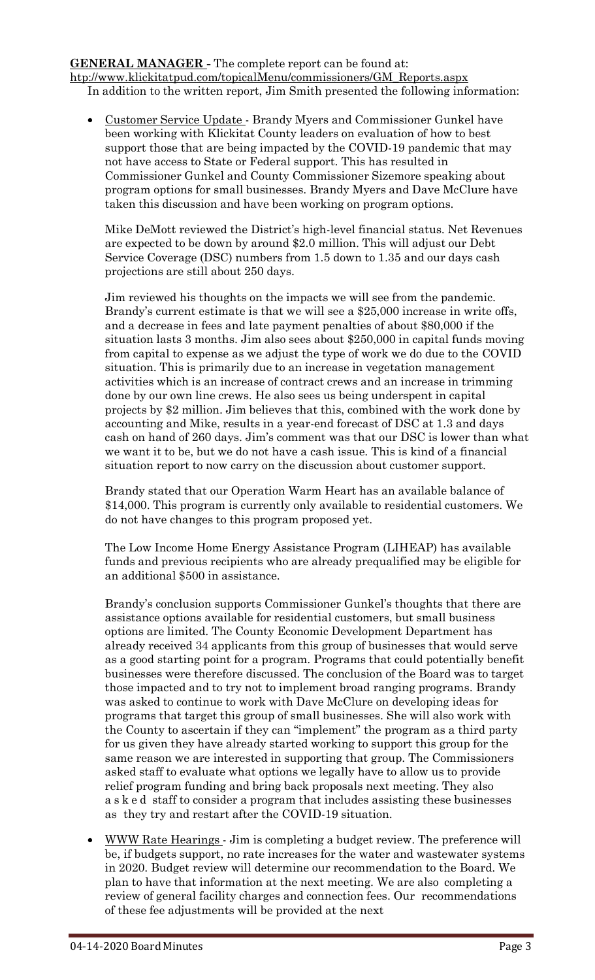**GENERAL MANAGER -** The complete report can be found at: [htp://www.klickitatpud.com/topicalMenu/commissioners/GM\\_Reports.aspx](http://www.klickitatpud.com/topicalMenu/commissioners/GM_Reports.aspx) In addition to the written report, Jim Smith presented the following information:

 Customer Service Update - Brandy Myers and Commissioner Gunkel have been working with Klickitat County leaders on evaluation of how to best support those that are being impacted by the COVID-19 pandemic that may not have access to State or Federal support. This has resulted in Commissioner Gunkel and County Commissioner Sizemore speaking about program options for small businesses. Brandy Myers and Dave McClure have taken this discussion and have been working on program options.

Mike DeMott reviewed the District's high-level financial status. Net Revenues are expected to be down by around \$2.0 million. This will adjust our Debt Service Coverage (DSC) numbers from 1.5 down to 1.35 and our days cash projections are still about 250 days.

Jim reviewed his thoughts on the impacts we will see from the pandemic. Brandy's current estimate is that we will see a \$25,000 increase in write offs, and a decrease in fees and late payment penalties of about \$80,000 if the situation lasts 3 months. Jim also sees about \$250,000 in capital funds moving from capital to expense as we adjust the type of work we do due to the COVID situation. This is primarily due to an increase in vegetation management activities which is an increase of contract crews and an increase in trimming done by our own line crews. He also sees us being underspent in capital projects by \$2 million. Jim believes that this, combined with the work done by accounting and Mike, results in a year-end forecast of DSC at 1.3 and days cash on hand of 260 days. Jim's comment was that our DSC is lower than what we want it to be, but we do not have a cash issue. This is kind of a financial situation report to now carry on the discussion about customer support.

Brandy stated that our Operation Warm Heart has an available balance of \$14,000. This program is currently only available to residential customers. We do not have changes to this program proposed yet.

The Low Income Home Energy Assistance Program (LIHEAP) has available funds and previous recipients who are already prequalified may be eligible for an additional \$500 in assistance.

Brandy's conclusion supports Commissioner Gunkel's thoughts that there are assistance options available for residential customers, but small business options are limited. The County Economic Development Department has already received 34 applicants from this group of businesses that would serve as a good starting point for a program. Programs that could potentially benefit businesses were therefore discussed. The conclusion of the Board was to target those impacted and to try not to implement broad ranging programs. Brandy was asked to continue to work with Dave McClure on developing ideas for programs that target this group of small businesses. She will also work with the County to ascertain if they can "implement" the program as a third party for us given they have already started working to support this group for the same reason we are interested in supporting that group. The Commissioners asked staff to evaluate what options we legally have to allow us to provide relief program funding and bring back proposals next meeting. They also a s k e d staff to consider a program that includes assisting these businesses as they try and restart after the COVID-19 situation.

 WWW Rate Hearings - Jim is completing a budget review. The preference will be, if budgets support, no rate increases for the water and wastewater systems in 2020. Budget review will determine our recommendation to the Board. We plan to have that information at the next meeting. We are also completing a review of general facility charges and connection fees. Our recommendations of these fee adjustments will be provided at the next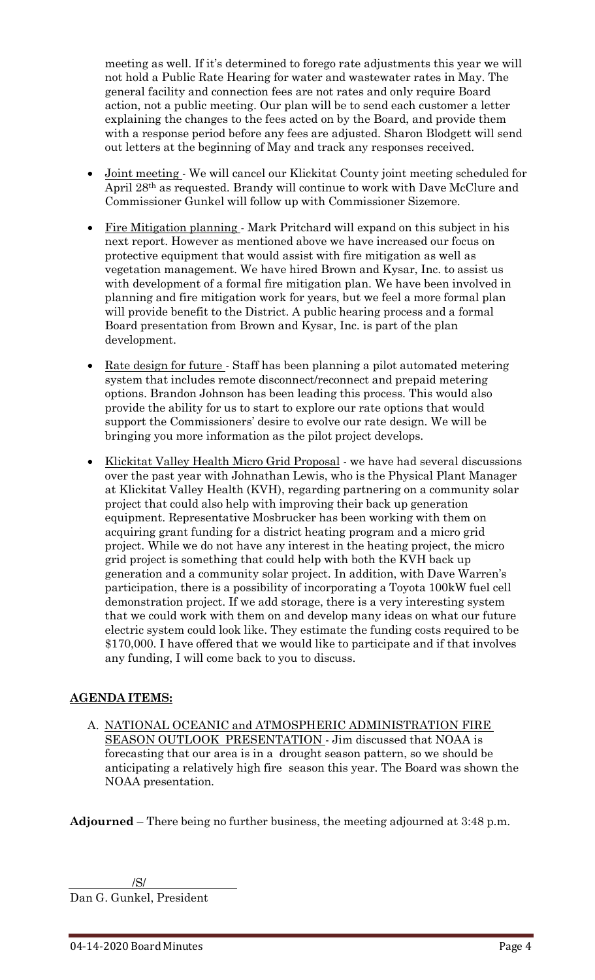meeting as well. If it's determined to forego rate adjustments this year we will not hold a Public Rate Hearing for water and wastewater rates in May. The general facility and connection fees are not rates and only require Board action, not a public meeting. Our plan will be to send each customer a letter explaining the changes to the fees acted on by the Board, and provide them with a response period before any fees are adjusted. Sharon Blodgett will send out letters at the beginning of May and track any responses received.

- Joint meeting We will cancel our Klickitat County joint meeting scheduled for April 28th as requested. Brandy will continue to work with Dave McClure and Commissioner Gunkel will follow up with Commissioner Sizemore.
- Fire Mitigation planning Mark Pritchard will expand on this subject in his next report. However as mentioned above we have increased our focus on protective equipment that would assist with fire mitigation as well as vegetation management. We have hired Brown and Kysar, Inc. to assist us with development of a formal fire mitigation plan. We have been involved in planning and fire mitigation work for years, but we feel a more formal plan will provide benefit to the District. A public hearing process and a formal Board presentation from Brown and Kysar, Inc. is part of the plan development.
- Rate design for future Staff has been planning a pilot automated metering system that includes remote disconnect/reconnect and prepaid metering options. Brandon Johnson has been leading this process. This would also provide the ability for us to start to explore our rate options that would support the Commissioners' desire to evolve our rate design. We will be bringing you more information as the pilot project develops.
- Klickitat Valley Health Micro Grid Proposal we have had several discussions over the past year with Johnathan Lewis, who is the Physical Plant Manager at Klickitat Valley Health (KVH), regarding partnering on a community solar project that could also help with improving their back up generation equipment. Representative Mosbrucker has been working with them on acquiring grant funding for a district heating program and a micro grid project. While we do not have any interest in the heating project, the micro grid project is something that could help with both the KVH back up generation and a community solar project. In addition, with Dave Warren's participation, there is a possibility of incorporating a Toyota 100kW fuel cell demonstration project. If we add storage, there is a very interesting system that we could work with them on and develop many ideas on what our future electric system could look like. They estimate the funding costs required to be \$170,000. I have offered that we would like to participate and if that involves any funding, I will come back to you to discuss.

## **AGENDA ITEMS:**

A. NATIONAL OCEANIC and ATMOSPHERIC ADMINISTRATION FIRE SEASON OUTLOOK PRESENTATION - Jim discussed that NOAA is forecasting that our area is in a drought season pattern, so we should be anticipating a relatively high fire season this year. The Board was shown the NOAA presentation.

**Adjourned** – There being no further business, the meeting adjourned at 3:48 p.m.